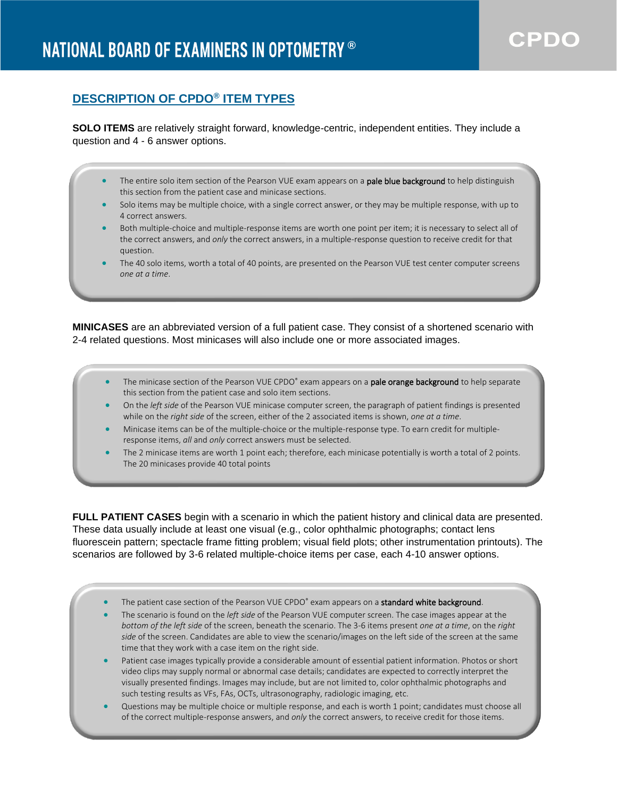## **DESCRIPTION OF CPDO® ITEM TYPES**

**SOLO ITEMS** are relatively straight forward, knowledge-centric, independent entities. They include a question and 4 - 6 answer options.

- The entire solo item section of the Pearson VUE exam appears on a **pale blue background** to help distinguish this section from the patient case and minicase sections.
- Solo items may be multiple choice, with a single correct answer, or they may be multiple response, with up to 4 correct answers.
- Both multiple-choice and multiple-response items are worth one point per item; it is necessary to select all of the correct answers, and *only* the correct answers, in a multiple-response question to receive credit for that question.
- The 40 solo items, worth a total of 40 points, are presented on the Pearson VUE test center computer screens *one at a time*.

**MINICASES** are an abbreviated version of a full patient case. They consist of a shortened scenario with 2-4 related questions. Most minicases will also include one or more associated images.

- The minicase section of the Pearson VUE CPDO® exam appears on a pale orange background to help separate this section from the patient case and solo item sections.
- On the *left side* of the Pearson VUE minicase computer screen, the paragraph of patient findings is presented while on the *right side* of the screen, either of the 2 associated items is shown, *one at a time*.
- Minicase items can be of the multiple-choice or the multiple-response type. To earn credit for multipleresponse items, *all* and *only* correct answers must be selected.
- The 2 minicase items are worth 1 point each; therefore, each minicase potentially is worth a total of 2 points. The 20 minicases provide 40 total points

**FULL PATIENT CASES** begin with a scenario in which the patient history and clinical data are presented. These data usually include at least one visual (e.g., color ophthalmic photographs; contact lens fluorescein pattern; spectacle frame fitting problem; visual field plots; other instrumentation printouts). The scenarios are followed by 3-6 related multiple-choice items per case, each 4-10 answer options.

- The patient case section of the Pearson VUE CPDO® exam appears on a standard white background.
- The scenario is found on the *left side* of the Pearson VUE computer screen. The case images appear at the *bottom of the left side* of the screen, beneath the scenario. The 3-6 items present *one at a time*, on the *right side* of the screen. Candidates are able to view the scenario/images on the left side of the screen at the same time that they work with a case item on the right side.
- Patient case images typically provide a considerable amount of essential patient information. Photos or short video clips may supply normal or abnormal case details; candidates are expected to correctly interpret the visually presented findings. Images may include, but are not limited to, color ophthalmic photographs and such testing results as VFs, FAs, OCTs, ultrasonography, radiologic imaging, etc.
- Questions may be multiple choice or multiple response, and each is worth 1 point; candidates must choose all of the correct multiple-response answers, and *only* the correct answers, to receive credit for those items.